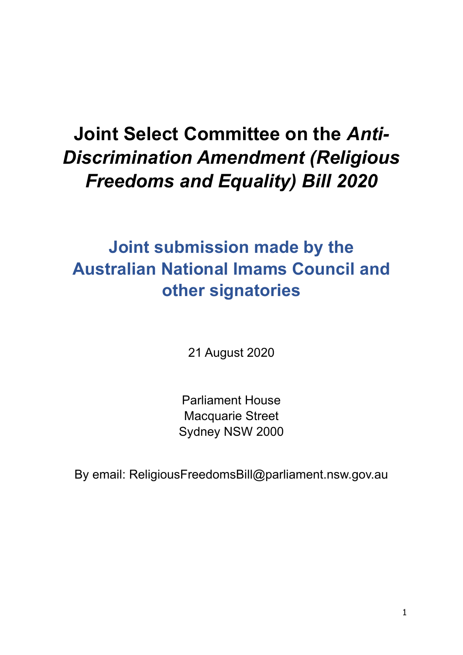# **Joint Select Committee on the** *Anti-Discrimination Amendment (Religious Freedoms and Equality) Bill 2020*

# **Joint submission made by the Australian National Imams Council and other signatories**

21 August 2020

Parliament House Macquarie Street Sydney NSW 2000

By email: ReligiousFreedomsBill@parliament.nsw.gov.au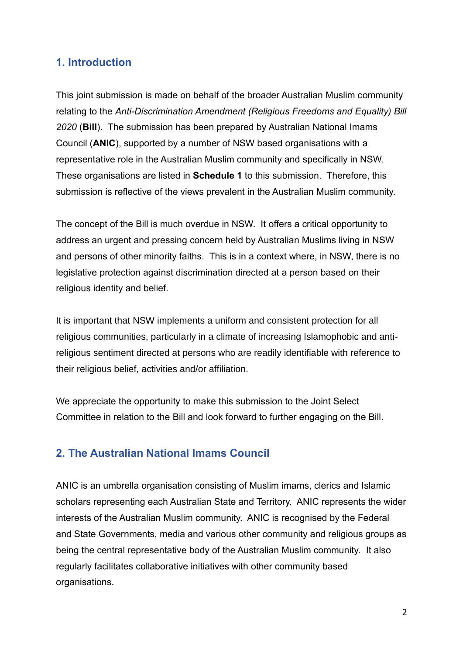### **1. Introduction**

This joint submission is made on behalf of the broader Australian Muslim community relating to the *Anti-Discrimination Amendment (Religious Freedoms and Equality) Bill 2020* (**Bill**). The submission has been prepared by Australian National Imams Council (**ANIC**), supported by a number of NSW based organisations with a representative role in the Australian Muslim community and specifically in NSW. These organisations are listed in **Schedule 1** to this submission. Therefore, this submission is reflective of the views prevalent in the Australian Muslim community.

The concept of the Bill is much overdue in NSW. It offers a critical opportunity to address an urgent and pressing concern held by Australian Muslims living in NSW and persons of other minority faiths. This is in a context where, in NSW, there is no legislative protection against discrimination directed at a person based on their religious identity and belief.

It is important that NSW implements a uniform and consistent protection for all religious communities, particularly in a climate of increasing Islamophobic and antireligious sentiment directed at persons who are readily identifiable with reference to their religious belief, activities and/or affiliation.

We appreciate the opportunity to make this submission to the Joint Select Committee in relation to the Bill and look forward to further engaging on the Bill.

### **2. The Australian National Imams Council**

ANIC is an umbrella organisation consisting of Muslim imams, clerics and Islamic scholars representing each Australian State and Territory. ANIC represents the wider interests of the Australian Muslim community. ANIC is recognised by the Federal and State Governments, media and various other community and religious groups as being the central representative body of the Australian Muslim community. It also regularly facilitates collaborative initiatives with other community based organisations.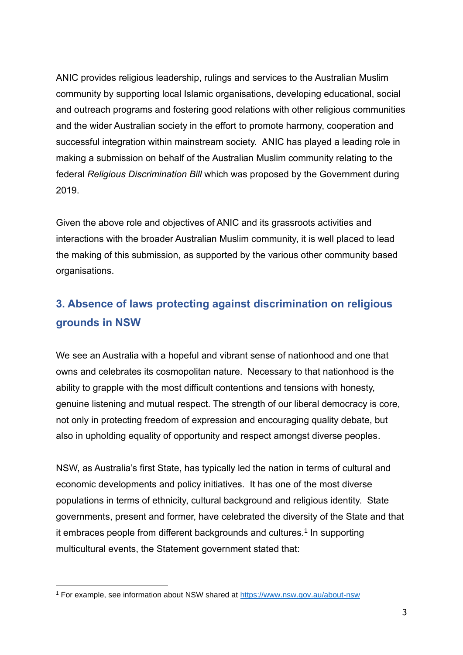ANIC provides religious leadership, rulings and services to the Australian Muslim community by supporting local Islamic organisations, developing educational, social and outreach programs and fostering good relations with other religious communities and the wider Australian society in the effort to promote harmony, cooperation and successful integration within mainstream society. ANIC has played a leading role in making a submission on behalf of the Australian Muslim community relating to the federal *Religious Discrimination Bill* which was proposed by the Government during 2019.

Given the above role and objectives of ANIC and its grassroots activities and interactions with the broader Australian Muslim community, it is well placed to lead the making of this submission, as supported by the various other community based organisations.

# **3. Absence of laws protecting against discrimination on religious grounds in NSW**

We see an Australia with a hopeful and vibrant sense of nationhood and one that owns and celebrates its cosmopolitan nature. Necessary to that nationhood is the ability to grapple with the most difficult contentions and tensions with honesty, genuine listening and mutual respect. The strength of our liberal democracy is core, not only in protecting freedom of expression and encouraging quality debate, but also in upholding equality of opportunity and respect amongst diverse peoples.

NSW, as Australia's first State, has typically led the nation in terms of cultural and economic developments and policy initiatives. It has one of the most diverse populations in terms of ethnicity, cultural background and religious identity. State governments, present and former, have celebrated the diversity of the State and that it embraces people from different backgrounds and cultures.<sup>1</sup> In supporting multicultural events, the Statement government stated that:

<sup>1</sup> For example, see information about NSW shared at<https://www.nsw.gov.au/about-nsw>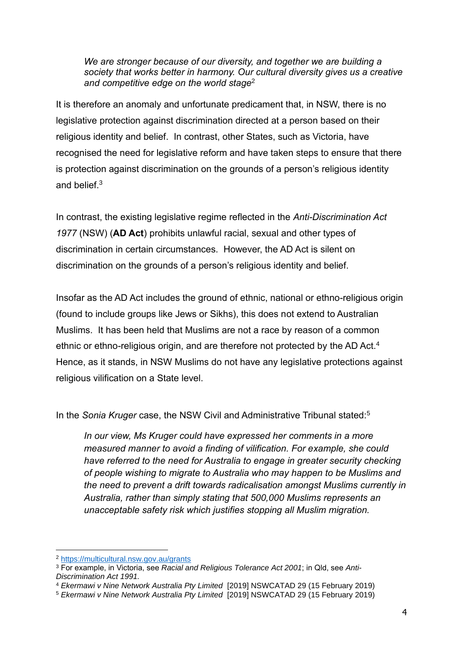*We are stronger because of our diversity, and together we are building a society that works better in harmony. Our cultural diversity gives us a creative and competitive edge on the world stage*<sup>2</sup>

It is therefore an anomaly and unfortunate predicament that, in NSW, there is no legislative protection against discrimination directed at a person based on their religious identity and belief. In contrast, other States, such as Victoria, have recognised the need for legislative reform and have taken steps to ensure that there is protection against discrimination on the grounds of a person's religious identity and belief.<sup>3</sup>

In contrast, the existing legislative regime reflected in the *Anti-Discrimination Act 1977* (NSW) (**AD Act**) prohibits unlawful racial, sexual and other types of discrimination in certain circumstances. However, the AD Act is silent on discrimination on the grounds of a person's religious identity and belief.

Insofar as the AD Act includes the ground of ethnic, national or ethno-religious origin (found to include groups like Jews or Sikhs), this does not extend to Australian Muslims. It has been held that Muslims are not a race by reason of a common ethnic or ethno-religious origin, and are therefore not protected by the AD Act.<sup>4</sup> Hence, as it stands, in NSW Muslims do not have any legislative protections against religious vilification on a State level.

In the *Sonia Kruger* case, the NSW Civil and Administrative Tribunal stated:<sup>5</sup>

*In our view, Ms Kruger could have expressed her comments in a more measured manner to avoid a finding of vilification. For example, she could have referred to the need for Australia to engage in greater security checking of people wishing to migrate to Australia who may happen to be Muslims and the need to prevent a drift towards radicalisation amongst Muslims currently in Australia, rather than simply stating that 500,000 Muslims represents an unacceptable safety risk which justifies stopping all Muslim migration.*

<sup>2</sup> <https://multicultural.nsw.gov.au/grants>

<sup>3</sup> For example, in Victoria, see *Racial and Religious Tolerance Act 2001*; in Qld, see *Anti-Discrimination Act 1991.*

<sup>4</sup> *Ekermawi v Nine Network Australia Pty Limited* [2019] NSWCATAD 29 (15 February 2019)

<sup>5</sup> *Ekermawi v Nine Network Australia Pty Limited* [2019] NSWCATAD 29 (15 February 2019)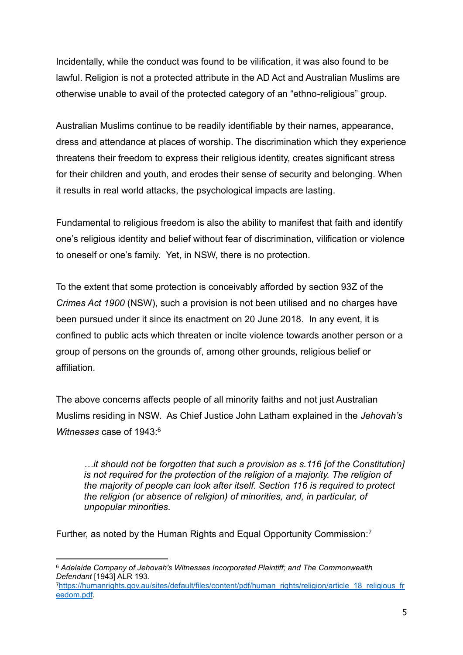Incidentally, while the conduct was found to be vilification, it was also found to be lawful. Religion is not a protected attribute in the AD Act and Australian Muslims are otherwise unable to avail of the protected category of an "ethno-religious" group.

Australian Muslims continue to be readily identifiable by their names, appearance, dress and attendance at places of worship. The discrimination which they experience threatens their freedom to express their religious identity, creates significant stress for their children and youth, and erodes their sense of security and belonging. When it results in real world attacks, the psychological impacts are lasting.

Fundamental to religious freedom is also the ability to manifest that faith and identify one's religious identity and belief without fear of discrimination, vilification or violence to oneself or one's family. Yet, in NSW, there is no protection.

To the extent that some protection is conceivably afforded by section 93Z of the *Crimes Act 1900* (NSW), such a provision is not been utilised and no charges have been pursued under it since its enactment on 20 June 2018. In any event, it is confined to public acts which threaten or incite violence towards another person or a group of persons on the grounds of, among other grounds, religious belief or affiliation.

The above concerns affects people of all minority faiths and not just Australian Muslims residing in NSW. As Chief Justice John Latham explained in the *[Jehovah's](http://www.uniset.ca/other/cs5/67CLR116.html)  [Witnesses](http://www.uniset.ca/other/cs5/67CLR116.html)* case of 1943: 6

*…it should not be forgotten that such a provision as s.116 [of the Constitution] is not required for the protection of the religion of a majority. The religion of the majority of people can look after itself. Section 116 is required to protect the religion (or absence of religion) of minorities, and, in particular, of unpopular minorities.*

Further, as noted by the Human Rights and Equal Opportunity Commission:<sup>7</sup>

<sup>6</sup> *Adelaide Company of Jehovah's Witnesses Incorporated Plaintiff; and The Commonwealth Defendant* [1943] ALR 193*.*

<sup>7</sup>[https://humanrights.gov.au/sites/default/files/content/pdf/human\\_rights/religion/article\\_18\\_religious\\_fr](https://humanrights.gov.au/sites/default/files/content/pdf/human_rights/religion/article_18_religious_freedom.pdf) [eedom.pdf](https://humanrights.gov.au/sites/default/files/content/pdf/human_rights/religion/article_18_religious_freedom.pdf)*.*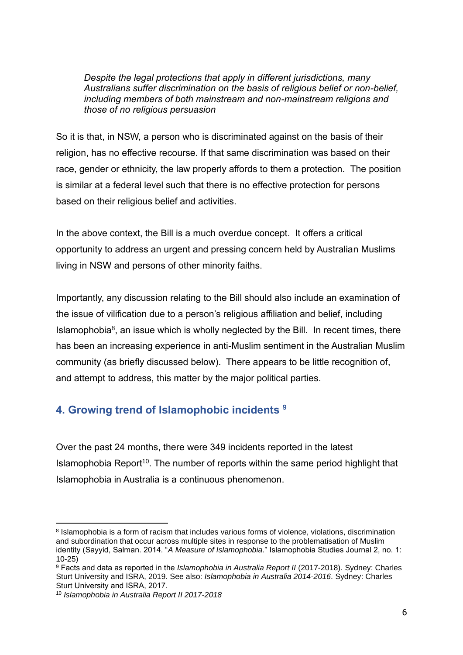*Despite the legal protections that apply in different jurisdictions, many Australians suffer discrimination on the basis of religious belief or non-belief, including members of both mainstream and non-mainstream religions and those of no religious persuasion*

So it is that, in NSW, a person who is discriminated against on the basis of their religion, has no effective recourse. If that same discrimination was based on their race, gender or ethnicity, the law properly affords to them a protection. The position is similar at a federal level such that there is no effective protection for persons based on their religious belief and activities.

In the above context, the Bill is a much overdue concept. It offers a critical opportunity to address an urgent and pressing concern held by Australian Muslims living in NSW and persons of other minority faiths.

Importantly, any discussion relating to the Bill should also include an examination of the issue of vilification due to a person's religious affiliation and belief, including Islamophobia $<sup>8</sup>$ , an issue which is wholly neglected by the Bill. In recent times, there</sup> has been an increasing experience in anti-Muslim sentiment in the Australian Muslim community (as briefly discussed below). There appears to be little recognition of, and attempt to address, this matter by the major political parties.

## **4. Growing trend of Islamophobic incidents <sup>9</sup>**

Over the past 24 months, there were 349 incidents reported in the latest Islamophobia Report<sup>10</sup>. The number of reports within the same period highlight that Islamophobia in Australia is a continuous phenomenon.

<sup>&</sup>lt;sup>8</sup> Islamophobia is a form of racism that includes various forms of violence, violations, discrimination and subordination that occur across multiple sites in response to the problematisation of Muslim identity (Sayyid, Salman. 2014. "*A Measure of Islamophobia*." Islamophobia Studies Journal 2, no. 1: 10-25)

<sup>9</sup> Facts and data as reported in the *Islamophobia in Australia Report II* (2017-2018). Sydney: Charles Sturt University and ISRA, 2019. See also: *Islamophobia in Australia 2014-2016*. Sydney: Charles Sturt University and ISRA, 2017.

<sup>10</sup> *Islamophobia in Australia Report II 2017-2018*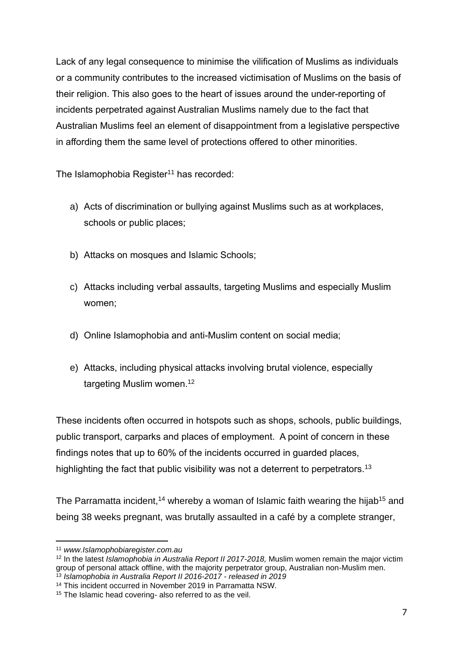Lack of any legal consequence to minimise the vilification of Muslims as individuals or a community contributes to the increased victimisation of Muslims on the basis of their religion. This also goes to the heart of issues around the under-reporting of incidents perpetrated against Australian Muslims namely due to the fact that Australian Muslims feel an element of disappointment from a legislative perspective in affording them the same level of protections offered to other minorities.

The Islamophobia Register<sup>11</sup> has recorded:

- a) Acts of discrimination or bullying against Muslims such as at workplaces, schools or public places;
- b) Attacks on mosques and Islamic Schools;
- c) Attacks including verbal assaults, targeting Muslims and especially Muslim women;
- d) Online Islamophobia and anti-Muslim content on social media;
- e) Attacks, including physical attacks involving brutal violence, especially targeting Muslim women.<sup>12</sup>

These incidents often occurred in hotspots such as shops, schools, public buildings, public transport, carparks and places of employment. A point of concern in these findings notes that up to 60% of the incidents occurred in guarded places, highlighting the fact that public visibility was not a deterrent to perpetrators.<sup>13</sup>

The Parramatta incident,<sup>14</sup> whereby a woman of Islamic faith wearing the hijab<sup>15</sup> and being 38 weeks pregnant, was brutally assaulted in a café by a complete stranger,

<sup>11</sup> *www.Islamophobiaregister.com.au*

<sup>12</sup> In the latest *Islamophobia in Australia Report II 2017-2018,* Muslim women remain the major victim group of personal attack offline, with the majority perpetrator group, Australian non-Muslim men.

<sup>13</sup> *Islamophobia in Australia Report II 2016-2017 - released in 2019* <sup>14</sup> This incident occurred in November 2019 in Parramatta NSW.

<sup>&</sup>lt;sup>15</sup> The Islamic head covering- also referred to as the veil.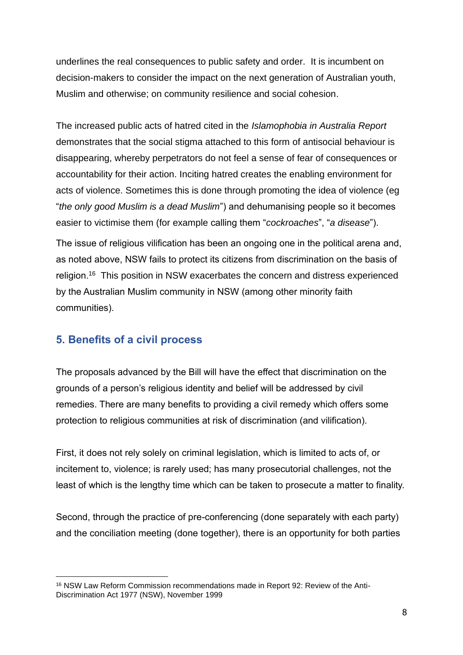underlines the real consequences to public safety and order. It is incumbent on decision-makers to consider the impact on the next generation of Australian youth, Muslim and otherwise; on community resilience and social cohesion.

The increased public acts of hatred cited in the *Islamophobia in Australia Report*  demonstrates that the social stigma attached to this form of antisocial behaviour is disappearing, whereby perpetrators do not feel a sense of fear of consequences or accountability for their action. Inciting hatred creates the enabling environment for acts of violence. Sometimes this is done through promoting the idea of violence (eg "*the only good Muslim is a dead Muslim*") and dehumanising people so it becomes easier to victimise them (for example calling them "*cockroaches*", "*a disease*").

The issue of religious vilification has been an ongoing one in the political arena and, as noted above, NSW fails to protect its citizens from discrimination on the basis of religion.<sup>16</sup> This position in NSW exacerbates the concern and distress experienced by the Australian Muslim community in NSW (among other minority faith communities).

### **5. Benefits of a civil process**

The proposals advanced by the Bill will have the effect that discrimination on the grounds of a person's religious identity and belief will be addressed by civil remedies. There are many benefits to providing a civil remedy which offers some protection to religious communities at risk of discrimination (and vilification).

First, it does not rely solely on criminal legislation, which is limited to acts of, or incitement to, violence; is rarely used; has many prosecutorial challenges, not the least of which is the lengthy time which can be taken to prosecute a matter to finality.

Second, through the practice of pre-conferencing (done separately with each party) and the conciliation meeting (done together), there is an opportunity for both parties

<sup>16</sup> NSW Law Reform Commission recommendations made in Report 92: Review of the Anti-Discrimination Act 1977 (NSW), November 1999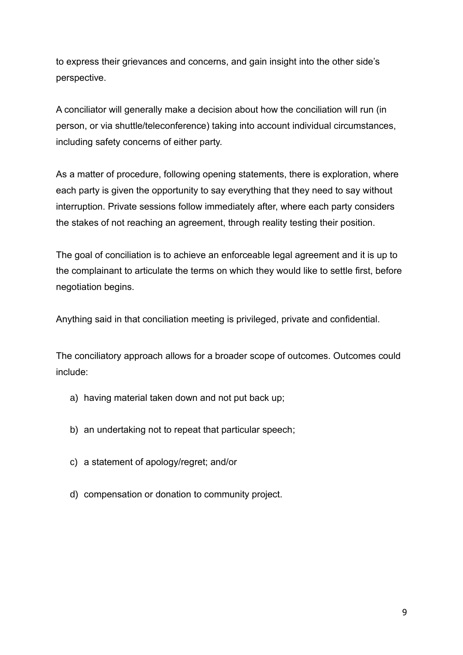to express their grievances and concerns, and gain insight into the other side's perspective.

A conciliator will generally make a decision about how the conciliation will run (in person, or via shuttle/teleconference) taking into account individual circumstances, including safety concerns of either party.

As a matter of procedure, following opening statements, there is exploration, where each party is given the opportunity to say everything that they need to say without interruption. Private sessions follow immediately after, where each party considers the stakes of not reaching an agreement, through reality testing their position.

The goal of conciliation is to achieve an enforceable legal agreement and it is up to the complainant to articulate the terms on which they would like to settle first, before negotiation begins.

Anything said in that conciliation meeting is privileged, private and confidential.

The conciliatory approach allows for a broader scope of outcomes. Outcomes could include:

- a) having material taken down and not put back up;
- b) an undertaking not to repeat that particular speech;
- c) a statement of apology/regret; and/or
- d) compensation or donation to community project.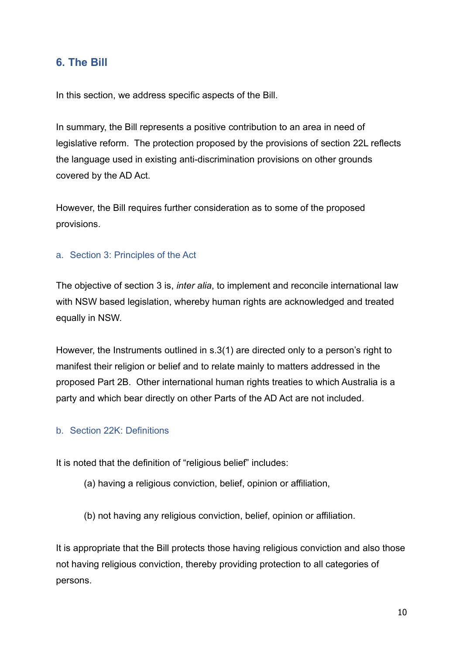### **6. The Bill**

In this section, we address specific aspects of the Bill.

In summary, the Bill represents a positive contribution to an area in need of legislative reform. The protection proposed by the provisions of section 22L reflects the language used in existing anti-discrimination provisions on other grounds covered by the AD Act.

However, the Bill requires further consideration as to some of the proposed provisions.

#### a. Section 3: Principles of the Act

The objective of section 3 is, *inter alia*, to implement and reconcile international law with NSW based legislation, whereby human rights are acknowledged and treated equally in NSW.

However, the Instruments outlined in s.3(1) are directed only to a person's right to manifest their religion or belief and to relate mainly to matters addressed in the proposed Part 2B. Other international human rights treaties to which Australia is a party and which bear directly on other Parts of the AD Act are not included.

#### b. Section 22K: Definitions

It is noted that the definition of "religious belief" includes:

- (a) having a religious conviction, belief, opinion or affiliation,
- (b) not having any religious conviction, belief, opinion or affiliation.

It is appropriate that the Bill protects those having religious conviction and also those not having religious conviction, thereby providing protection to all categories of persons.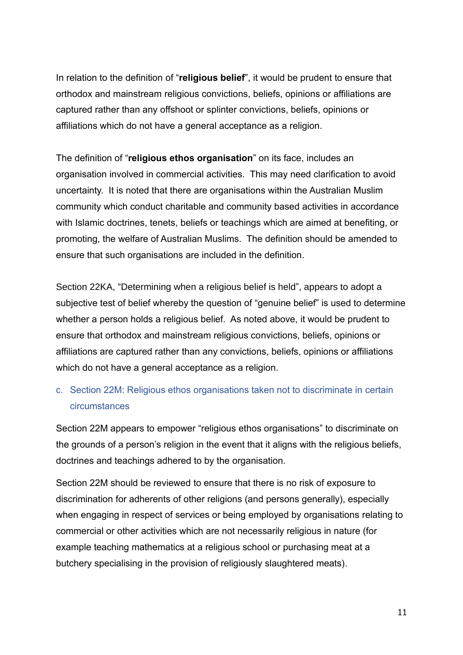In relation to the definition of "**religious belief**", it would be prudent to ensure that orthodox and mainstream religious convictions, beliefs, opinions or affiliations are captured rather than any offshoot or splinter convictions, beliefs, opinions or affiliations which do not have a general acceptance as a religion.

The definition of "**religious ethos organisation**" on its face, includes an organisation involved in commercial activities. This may need clarification to avoid uncertainty. It is noted that there are organisations within the Australian Muslim community which conduct charitable and community based activities in accordance with Islamic doctrines, tenets, beliefs or teachings which are aimed at benefiting, or promoting, the welfare of Australian Muslims. The definition should be amended to ensure that such organisations are included in the definition.

Section 22KA, "Determining when a religious belief is held", appears to adopt a subjective test of belief whereby the question of "genuine belief" is used to determine whether a person holds a religious belief. As noted above, it would be prudent to ensure that orthodox and mainstream religious convictions, beliefs, opinions or affiliations are captured rather than any convictions, beliefs, opinions or affiliations which do not have a general acceptance as a religion.

## c. Section 22M: Religious ethos organisations taken not to discriminate in certain circumstances

Section 22M appears to empower "religious ethos organisations" to discriminate on the grounds of a person's religion in the event that it aligns with the religious beliefs, doctrines and teachings adhered to by the organisation.

Section 22M should be reviewed to ensure that there is no risk of exposure to discrimination for adherents of other religions (and persons generally), especially when engaging in respect of services or being employed by organisations relating to commercial or other activities which are not necessarily religious in nature (for example teaching mathematics at a religious school or purchasing meat at a butchery specialising in the provision of religiously slaughtered meats).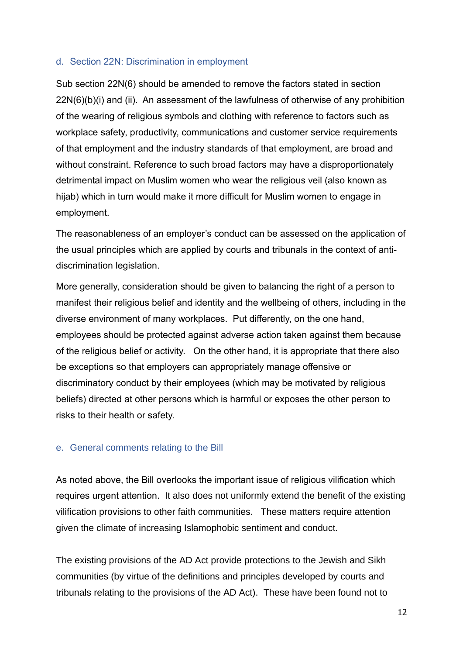#### d. Section 22N: Discrimination in employment

Sub section 22N(6) should be amended to remove the factors stated in section 22N(6)(b)(i) and (ii). An assessment of the lawfulness of otherwise of any prohibition of the wearing of religious symbols and clothing with reference to factors such as workplace safety, productivity, communications and customer service requirements of that employment and the industry standards of that employment, are broad and without constraint. Reference to such broad factors may have a disproportionately detrimental impact on Muslim women who wear the religious veil (also known as hijab) which in turn would make it more difficult for Muslim women to engage in employment.

The reasonableness of an employer's conduct can be assessed on the application of the usual principles which are applied by courts and tribunals in the context of antidiscrimination legislation.

More generally, consideration should be given to balancing the right of a person to manifest their religious belief and identity and the wellbeing of others, including in the diverse environment of many workplaces. Put differently, on the one hand, employees should be protected against adverse action taken against them because of the religious belief or activity. On the other hand, it is appropriate that there also be exceptions so that employers can appropriately manage offensive or discriminatory conduct by their employees (which may be motivated by religious beliefs) directed at other persons which is harmful or exposes the other person to risks to their health or safety.

#### e. General comments relating to the Bill

As noted above, the Bill overlooks the important issue of religious vilification which requires urgent attention. It also does not uniformly extend the benefit of the existing vilification provisions to other faith communities. These matters require attention given the climate of increasing Islamophobic sentiment and conduct.

The existing provisions of the AD Act provide protections to the Jewish and Sikh communities (by virtue of the definitions and principles developed by courts and tribunals relating to the provisions of the AD Act). These have been found not to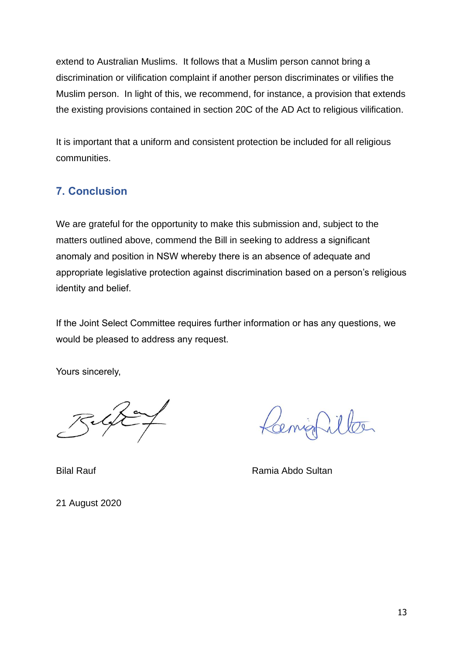extend to Australian Muslims. It follows that a Muslim person cannot bring a discrimination or vilification complaint if another person discriminates or vilifies the Muslim person. In light of this, we recommend, for instance, a provision that extends the existing provisions contained in section 20C of the AD Act to religious vilification.

It is important that a uniform and consistent protection be included for all religious communities.

## **7. Conclusion**

We are grateful for the opportunity to make this submission and, subject to the matters outlined above, commend the Bill in seeking to address a significant anomaly and position in NSW whereby there is an absence of adequate and appropriate legislative protection against discrimination based on a person's religious identity and belief.

If the Joint Select Committee requires further information or has any questions, we would be pleased to address any request.

Yours sincerely,

enigt

Bilal Rauf **Ramia Abdo Sultan** 

21 August 2020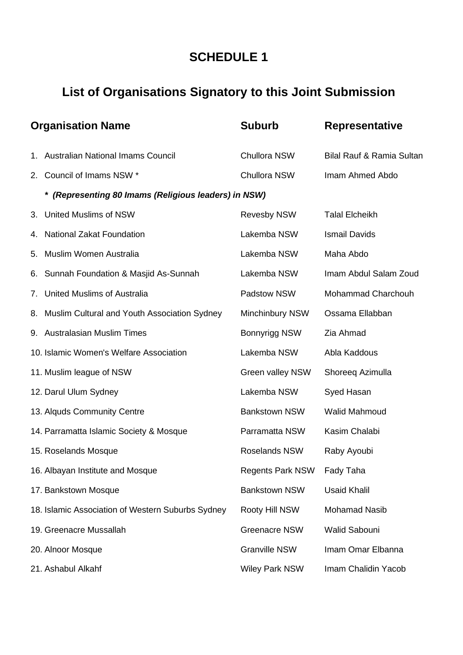# **SCHEDULE 1**

# **List of Organisations Signatory to this Joint Submission**

| <b>Organisation Name</b> |                                                      | <b>Suburb</b>           | <b>Representative</b>                |
|--------------------------|------------------------------------------------------|-------------------------|--------------------------------------|
|                          | 1. Australian National Imams Council                 | Chullora NSW            | <b>Bilal Rauf &amp; Ramia Sultan</b> |
| 2.                       | Council of Imams NSW *                               | Chullora NSW            | Imam Ahmed Abdo                      |
|                          | * (Representing 80 Imams (Religious leaders) in NSW) |                         |                                      |
| 3.                       | <b>United Muslims of NSW</b>                         | <b>Revesby NSW</b>      | <b>Talal Elcheikh</b>                |
| 4.                       | <b>National Zakat Foundation</b>                     | Lakemba NSW             | <b>Ismail Davids</b>                 |
| 5.                       | Muslim Women Australia                               | Lakemba NSW             | Maha Abdo                            |
| 6.                       | Sunnah Foundation & Masjid As-Sunnah                 | Lakemba NSW             | Imam Abdul Salam Zoud                |
| 7.                       | <b>United Muslims of Australia</b>                   | Padstow NSW             | Mohammad Charchouh                   |
| 8.                       | Muslim Cultural and Youth Association Sydney         | <b>Minchinbury NSW</b>  | Ossama Ellabban                      |
|                          | 9. Australasian Muslim Times                         | <b>Bonnyrigg NSW</b>    | Zia Ahmad                            |
|                          | 10. Islamic Women's Welfare Association              | Lakemba NSW             | Abla Kaddous                         |
|                          | 11. Muslim league of NSW                             | Green valley NSW        | Shoreeq Azimulla                     |
|                          | 12. Darul Ulum Sydney                                | Lakemba NSW             | Syed Hasan                           |
|                          | 13. Alquds Community Centre                          | <b>Bankstown NSW</b>    | <b>Walid Mahmoud</b>                 |
|                          | 14. Parramatta Islamic Society & Mosque              | Parramatta NSW          | Kasim Chalabi                        |
|                          | 15. Roselands Mosque                                 | Roselands NSW           | Raby Ayoubi                          |
|                          | 16. Albayan Institute and Mosque                     | <b>Regents Park NSW</b> | Fady Taha                            |
|                          | 17. Bankstown Mosque                                 | <b>Bankstown NSW</b>    | <b>Usaid Khalil</b>                  |
|                          | 18. Islamic Association of Western Suburbs Sydney    | Rooty Hill NSW          | <b>Mohamad Nasib</b>                 |
|                          | 19. Greenacre Mussallah                              | <b>Greenacre NSW</b>    | Walid Sabouni                        |
|                          | 20. Alnoor Mosque                                    | <b>Granville NSW</b>    | Imam Omar Elbanna                    |
|                          | 21. Ashabul Alkahf                                   | <b>Wiley Park NSW</b>   | Imam Chalidin Yacob                  |